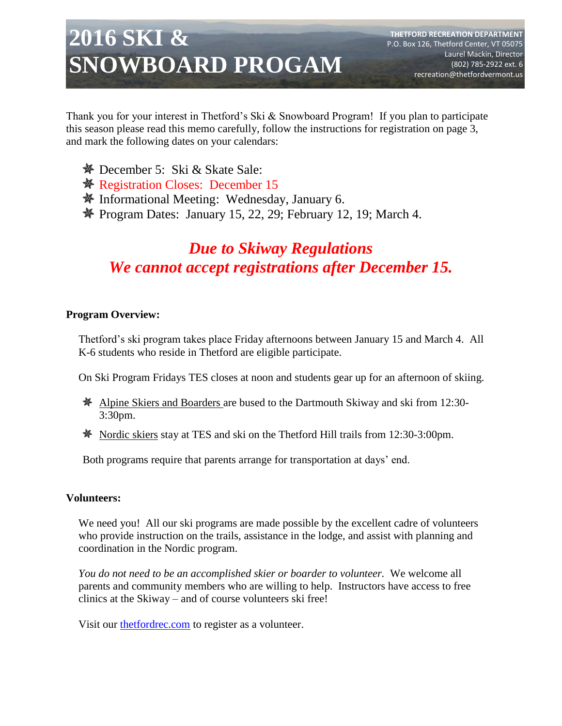# **2016 SKI & SNOWBOARD PROGAM**

Thank you for your interest in Thetford's Ski & Snowboard Program! If you plan to participate this season please read this memo carefully, follow the instructions for registration on page 3, and mark the following dates on your calendars:

- December 5: Ski & Skate Sale:
- **※ Registration Closes: December 15**
- Informational Meeting: Wednesday, January 6.
- $\mathcal{N}$  Program Dates: January 15, 22, 29; February 12, 19; March 4.

# *Due to Skiway Regulations We cannot accept registrations after December 15.*

### **Program Overview:**

Thetford's ski program takes place Friday afternoons between January 15 and March 4. All K-6 students who reside in Thetford are eligible participate.

On Ski Program Fridays TES closes at noon and students gear up for an afternoon of skiing.

- Alpine Skiers and Boarders are bused to the Dartmouth Skiway and ski from 12:30- 3:30pm.
- Nordic skiers stay at TES and ski on the Thetford Hill trails from 12:30-3:00pm.

Both programs require that parents arrange for transportation at days' end.

### **Volunteers:**

We need you! All our ski programs are made possible by the excellent cadre of volunteers who provide instruction on the trails, assistance in the lodge, and assist with planning and coordination in the Nordic program.

*You do not need to be an accomplished skier or boarder to volunteer.* We welcome all parents and community members who are willing to help. Instructors have access to free clinics at the Skiway – and of course volunteers ski free!

Visit our [thetfordrec.com](http://www.thetfordrec.com/info/activities/program_details.aspx?ProgramID=13664) to register as a volunteer.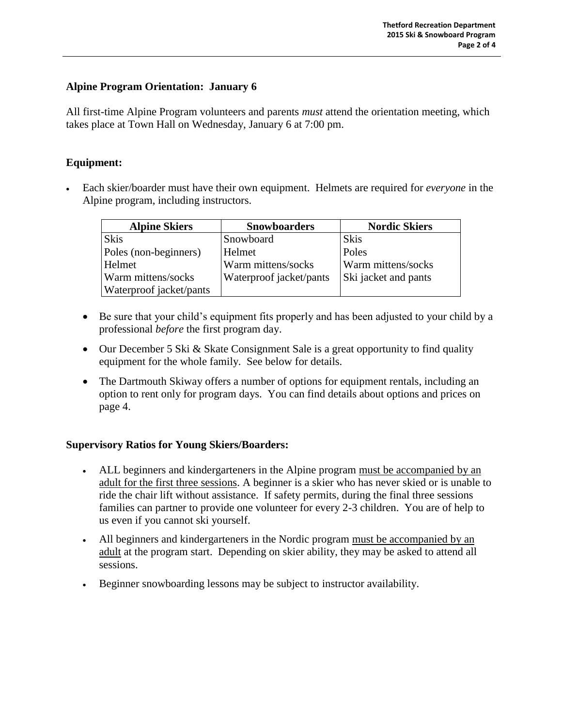### **Alpine Program Orientation: January 6**

All first-time Alpine Program volunteers and parents *must* attend the orientation meeting, which takes place at Town Hall on Wednesday, January 6 at 7:00 pm.

### **Equipment:**

 Each skier/boarder must have their own equipment. Helmets are required for *everyone* in the Alpine program, including instructors.

| <b>Alpine Skiers</b>    | <b>Snowboarders</b>     | <b>Nordic Skiers</b> |
|-------------------------|-------------------------|----------------------|
| <b>Skis</b>             | Snowboard               | <b>Skis</b>          |
| Poles (non-beginners)   | Helmet                  | Poles                |
| Helmet                  | Warm mittens/socks      | Warm mittens/socks   |
| Warm mittens/socks      | Waterproof jacket/pants | Ski jacket and pants |
| Waterproof jacket/pants |                         |                      |

- Be sure that your child's equipment fits properly and has been adjusted to your child by a professional *before* the first program day.
- Our December 5 Ski & Skate Consignment Sale is a great opportunity to find quality equipment for the whole family. See below for details.
- The Dartmouth Skiway offers a number of options for equipment rentals, including an option to rent only for program days. You can find details about options and prices on page 4.

### **Supervisory Ratios for Young Skiers/Boarders:**

- ALL beginners and kindergarteners in the Alpine program must be accompanied by an adult for the first three sessions. A beginner is a skier who has never skied or is unable to ride the chair lift without assistance. If safety permits, during the final three sessions families can partner to provide one volunteer for every 2-3 children. You are of help to us even if you cannot ski yourself.
- All beginners and kindergarteners in the Nordic program must be accompanied by an adult at the program start. Depending on skier ability, they may be asked to attend all sessions.
- Beginner snowboarding lessons may be subject to instructor availability.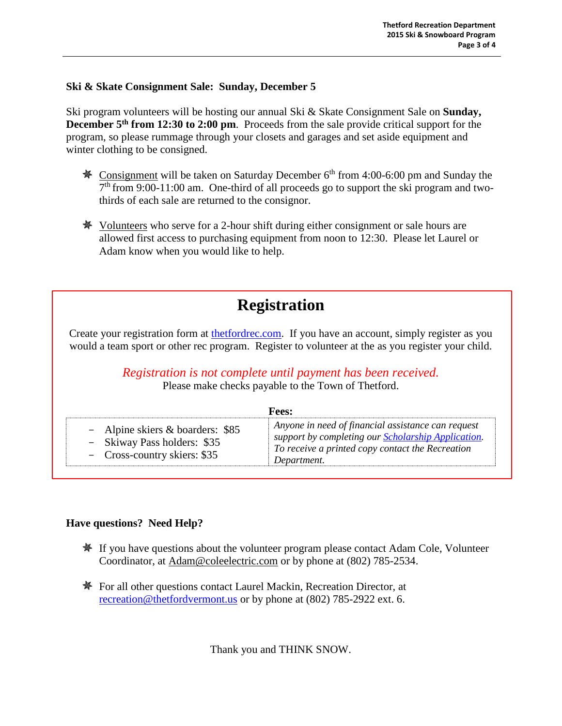### **Ski & Skate Consignment Sale: Sunday, December 5**

Ski program volunteers will be hosting our annual Ski & Skate Consignment Sale on **Sunday, December 5th from 12:30 to 2:00 pm**. Proceeds from the sale provide critical support for the program, so please rummage through your closets and garages and set aside equipment and winter clothing to be consigned.

- **EXECUTE:** Consignment will be taken on Saturday December  $6<sup>th</sup>$  from 4:00-6:00 pm and Sunday the  $7<sup>th</sup>$  from 9:00-11:00 am. One-third of all proceeds go to support the ski program and twothirds of each sale are returned to the consignor.
- Volunteers who serve for a 2-hour shift during either consignment or sale hours are allowed first access to purchasing equipment from noon to 12:30. Please let Laurel or Adam know when you would like to help.

# **Registration**

Create your registration form at [thetfordrec.com.](http://www.thetfordrec.com/info/) If you have an account, simply register as you would a team sport or other rec program. Register to volunteer at the as you register your child.

*Registration is not complete until payment has been received.*

Please make checks payable to the Town of Thetford.

| <b>Fees:</b>                                                                                    |                                                                                                                                                                                     |  |
|-------------------------------------------------------------------------------------------------|-------------------------------------------------------------------------------------------------------------------------------------------------------------------------------------|--|
| - Alpine skiers & boarders: \$85<br>- Skiway Pass holders: \$35<br>- Cross-country skiers: \$35 | Anyone in need of financial assistance can request<br>support by completing our <b>Scholarship Application</b> .<br>To receive a printed copy contact the Recreation<br>Department. |  |

### **Have questions? Need Help?**

- **If you have questions about the volunteer program please contact Adam Cole, Volunteer** Coordinator, at [Adam@coleelectric.com](mailto:Adam@coleelectric.com) or by phone at (802) 785-2534.
- **For all other questions contact Laurel Mackin, Recreation Director, at** [recreation@thetfordvermont.us](mailto:recreation@thetfordvermont.us) or by phone at (802) 785-2922 ext. 6.

Thank you and THINK SNOW.